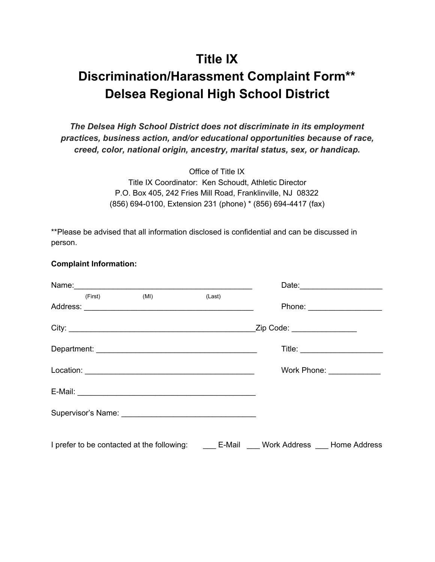### **Title IX**

# **Discrimination/Harassment Complaint Form\*\* Delsea Regional High School District**

*The Delsea High School District does not discriminate in its employment practices, business action, and/or educational opportunities because of race, creed, color, national origin, ancestry, marital status, sex, or handicap.*

> Office of Title IX Title IX Coordinator: Ken Schoudt, Athletic Director P.O. Box 405, 242 Fries Mill Road, Franklinville, NJ 08322 (856) 694-0100, Extension 231 (phone) \* (856) 694-4417 (fax)

\*\*Please be advised that all information disclosed is confidential and can be discussed in person.

#### **Complaint Information:**

|         |                                                                                                 |        |                             | Date: _______________________    |
|---------|-------------------------------------------------------------------------------------------------|--------|-----------------------------|----------------------------------|
| (First) | (MI)                                                                                            | (Last) |                             |                                  |
|         |                                                                                                 |        | Zip Code: _________________ |                                  |
|         |                                                                                                 |        |                             | Title: _________________________ |
|         |                                                                                                 |        |                             | Work Phone: ______________       |
|         |                                                                                                 |        |                             |                                  |
|         |                                                                                                 |        |                             |                                  |
|         | I prefer to be contacted at the following: ________ E-Mail _____ Work Address ____ Home Address |        |                             |                                  |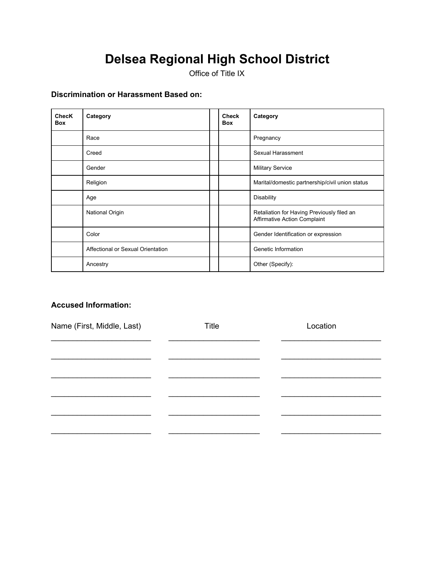Office of Title IX

### **Discrimination or Harassment Based on:**

| <b>ChecK</b><br><b>Box</b> | Category                          | <b>Check</b><br><b>Box</b> | Category                                                                          |
|----------------------------|-----------------------------------|----------------------------|-----------------------------------------------------------------------------------|
|                            | Race                              |                            | Pregnancy                                                                         |
|                            | Creed                             |                            | Sexual Harassment                                                                 |
|                            | Gender                            |                            | <b>Military Service</b>                                                           |
|                            | Religion                          |                            | Marital/domestic partnership/civil union status                                   |
|                            | Age                               |                            | <b>Disability</b>                                                                 |
|                            | National Origin                   |                            | Retaliation for Having Previously filed an<br><b>Affirmative Action Complaint</b> |
|                            | Color                             |                            | Gender Identification or expression                                               |
|                            | Affectional or Sexual Orientation |                            | Genetic Information                                                               |
|                            | Ancestry                          |                            | Other (Specify):                                                                  |

#### **Accused Information:**

| Name (First, Middle, Last) | <b>Title</b> | Location |
|----------------------------|--------------|----------|
|                            |              |          |
|                            |              |          |
|                            |              |          |
|                            |              |          |
|                            |              |          |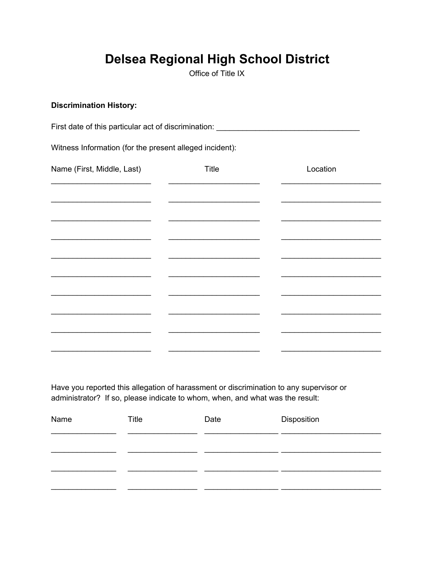Office of Title IX

#### **Discrimination History:**

First date of this particular act of discrimination: \_\_\_\_\_\_\_\_\_\_\_\_\_\_\_\_\_\_\_\_\_\_\_\_\_\_\_

Witness Information (for the present alleged incident):

| Name (First, Middle, Last) | Title | Location |
|----------------------------|-------|----------|
|                            |       |          |
|                            |       |          |
|                            |       |          |
|                            |       |          |
|                            |       |          |
|                            |       |          |
|                            |       |          |
|                            |       |          |
|                            |       |          |

Have you reported this allegation of harassment or discrimination to any supervisor or administrator? If so, please indicate to whom, when, and what was the result:

| Name | Title | Date | Disposition |
|------|-------|------|-------------|
|      |       |      |             |
|      |       |      |             |
|      |       |      |             |
|      |       |      |             |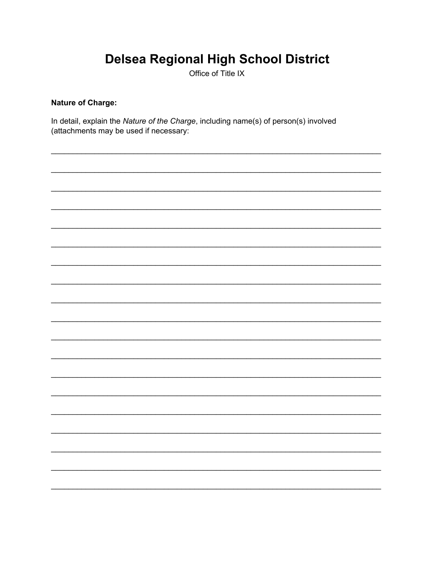Office of Title IX

### **Nature of Charge:**

In detail, explain the Nature of the Charge, including name(s) of person(s) involved (attachments may be used if necessary:

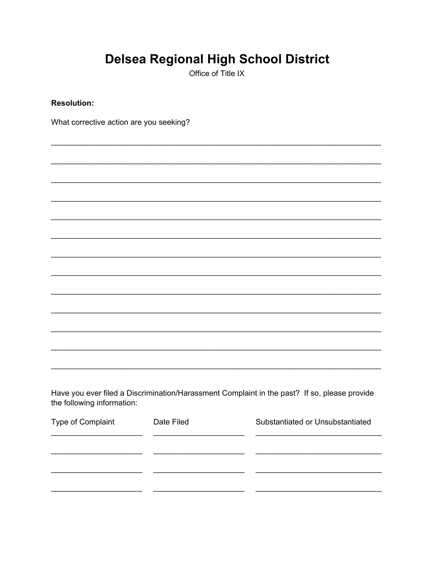Office of Title IX

**Resolution:** 

What corrective action are you seeking?

Have you ever filed a Discrimination/Harassment Complaint in the past? If so, please provide the following information:

 $\sim 10^{11}$  m  $^{-1}$  .

| Type of Complaint | Date Filed | Substantiated or Unsubstantiated |
|-------------------|------------|----------------------------------|
|                   |            |                                  |
|                   |            |                                  |
|                   |            |                                  |